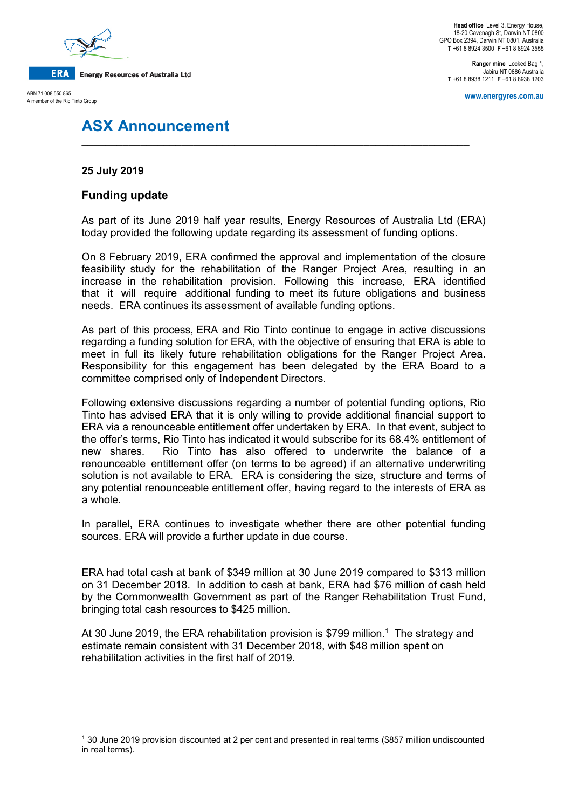

**Head office** Level 3, Energy House, 18-20 Cavenagh St, Darwin NT 0800 GPO Box 2394, Darwin NT 0801, Australia **T** +61 8 8924 3500 **F** +61 8 8924 3555

**Ranger mine** Locked Bag 1, Jabiru NT 0886 Australia **T** +61 8 8938 1211 **F** +61 8 8938 1203

**www.energyres.com.au**

ABN 71 008 550 865 A member of the Rio Tinto Group

# **ASX Announcement**

## **25 July 2019**

# **Funding update**

As part of its June 2019 half year results, Energy Resources of Australia Ltd (ERA) today provided the following update regarding its assessment of funding options.

**\_\_\_\_\_\_\_\_\_\_\_\_\_\_\_\_\_\_\_\_\_\_\_\_\_\_\_\_\_\_\_\_\_\_\_\_\_\_\_\_\_\_\_\_\_\_\_\_\_\_\_\_\_\_\_\_\_\_\_\_\_\_\_\_\_\_**

On 8 February 2019, ERA confirmed the approval and implementation of the closure feasibility study for the rehabilitation of the Ranger Project Area, resulting in an increase in the rehabilitation provision. Following this increase, ERA identified that it will require additional funding to meet its future obligations and business needs. ERA continues its assessment of available funding options.

As part of this process, ERA and Rio Tinto continue to engage in active discussions regarding a funding solution for ERA, with the objective of ensuring that ERA is able to meet in full its likely future rehabilitation obligations for the Ranger Project Area. Responsibility for this engagement has been delegated by the ERA Board to a committee comprised only of Independent Directors.

Following extensive discussions regarding a number of potential funding options, Rio Tinto has advised ERA that it is only willing to provide additional financial support to ERA via a renounceable entitlement offer undertaken by ERA. In that event, subject to the offer's terms, Rio Tinto has indicated it would subscribe for its 68.4% entitlement of new shares. Rio Tinto has also offered to underwrite the balance of a renounceable entitlement offer (on terms to be agreed) if an alternative underwriting solution is not available to ERA. ERA is considering the size, structure and terms of any potential renounceable entitlement offer, having regard to the interests of ERA as a whole.

In parallel, ERA continues to investigate whether there are other potential funding sources. ERA will provide a further update in due course.

ERA had total cash at bank of \$349 million at 30 June 2019 compared to \$313 million on 31 December 2018. In addition to cash at bank, ERA had \$76 million of cash held by the Commonwealth Government as part of the Ranger Rehabilitation Trust Fund, bringing total cash resources to \$425 million.

At 30 June 20[1](#page-0-0)9, the ERA rehabilitation provision is \$799 million.<sup>1</sup> The strategy and estimate remain consistent with 31 December 2018, with \$48 million spent on rehabilitation activities in the first half of 2019.

<span id="page-0-0"></span><sup>1</sup> 30 June 2019 provision discounted at 2 per cent and presented in real terms (\$857 million undiscounted in real terms).